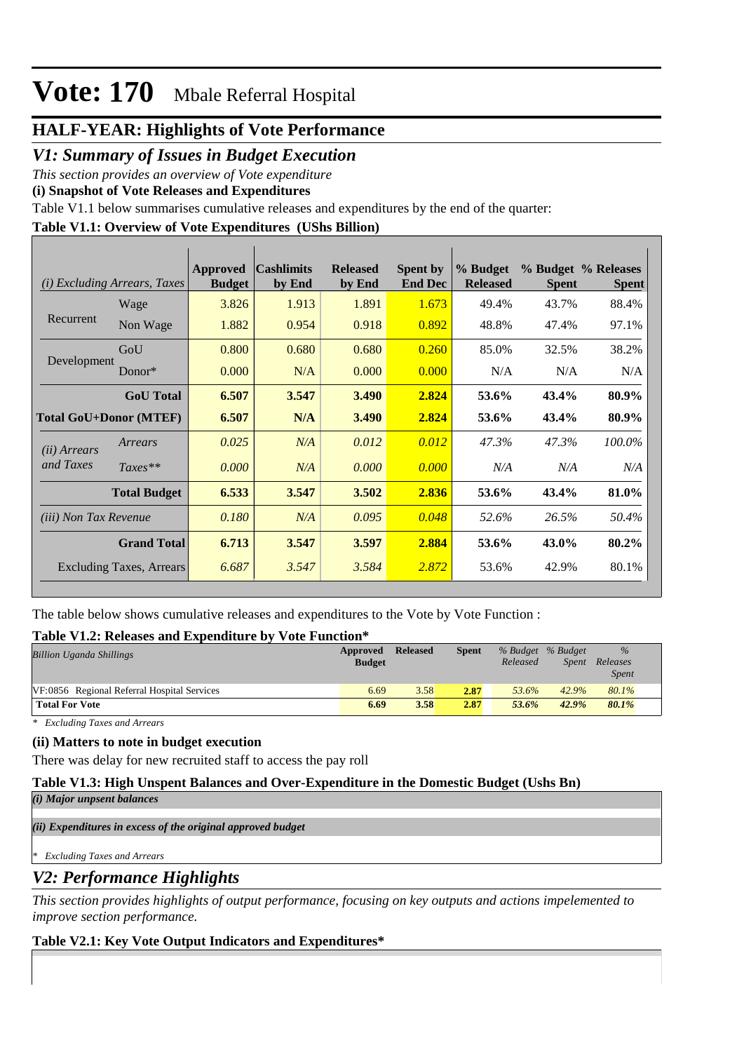## **HALF-YEAR: Highlights of Vote Performance**

### *V1: Summary of Issues in Budget Execution*

*This section provides an overview of Vote expenditure* 

**(i) Snapshot of Vote Releases and Expenditures**

Table V1.1 below summarises cumulative releases and expenditures by the end of the quarter:

### **Table V1.1: Overview of Vote Expenditures (UShs Billion)**

| ( <i>i</i> ) Excluding Arrears, Taxes |                     | Approved<br><b>Budget</b> | <b>Cashlimits</b><br>by End | <b>Released</b><br>by End | <b>Spent by</b><br><b>End Dec</b> | % Budget<br><b>Released</b> | <b>Spent</b> | % Budget % Releases<br><b>Spent</b> |
|---------------------------------------|---------------------|---------------------------|-----------------------------|---------------------------|-----------------------------------|-----------------------------|--------------|-------------------------------------|
|                                       | Wage                | 3.826                     | 1.913                       | 1.891                     | 1.673                             | 49.4%                       | 43.7%        | 88.4%                               |
| Recurrent                             | Non Wage            | 1.882                     | 0.954                       | 0.918                     | 0.892                             | 48.8%                       | 47.4%        | 97.1%                               |
| Development                           | GoU                 | 0.800                     | 0.680                       | 0.680                     | 0.260                             | 85.0%                       | 32.5%        | 38.2%                               |
|                                       | Donor $*$           | 0.000                     | N/A                         | 0.000                     | 0.000                             | N/A                         | N/A          | N/A                                 |
|                                       | <b>GoU</b> Total    | 6.507                     | 3.547                       | 3.490                     | 2.824                             | 53.6%                       | 43.4%        | 80.9%                               |
| <b>Total GoU+Donor (MTEF)</b>         |                     | 6.507                     | N/A                         | 3.490                     | 2.824                             | 53.6%                       | 43.4%        | 80.9%                               |
| ( <i>ii</i> ) Arrears                 | Arrears             | 0.025                     | N/A                         | 0.012                     | 0.012                             | 47.3%                       | 47.3%        | 100.0%                              |
| and Taxes                             | $Taxes**$           | 0.000                     | N/A                         | 0.000                     | 0.000                             | N/A                         | N/A          | N/A                                 |
|                                       | <b>Total Budget</b> | 6.533                     | 3.547                       | 3.502                     | 2.836                             | 53.6%                       | 43.4%        | 81.0%                               |
| <i>(iii)</i> Non Tax Revenue          |                     | 0.180                     | N/A                         | 0.095                     | 0.048                             | 52.6%                       | 26.5%        | 50.4%                               |
| <b>Grand Total</b>                    |                     | 6.713                     | 3.547                       | 3.597                     | 2.884                             | 53.6%                       | 43.0%        | 80.2%                               |
| Excluding Taxes, Arrears              |                     | 6.687                     | 3.547                       | 3.584                     | 2.872                             | 53.6%                       | 42.9%        | 80.1%                               |

The table below shows cumulative releases and expenditures to the Vote by Vote Function :

#### **Table V1.2: Releases and Expenditure by Vote Function\***

| <b>Billion Uganda Shillings</b>             | Approved<br><b>Budget</b> | <b>Released</b> | Spent | Released | % Budget % Budget<br>Spent | $\frac{0}{0}$<br>Releases<br><i>Spent</i> |
|---------------------------------------------|---------------------------|-----------------|-------|----------|----------------------------|-------------------------------------------|
| VF:0856 Regional Referral Hospital Services | 6.69                      | 3.58            | 2.87  | 53.6%    | 42.9%                      | 80.1%                                     |
| <b>Total For Vote</b>                       | 6.69                      | 3.58            | 2.87  | 53.6%    | 42.9%                      | 80.1%                                     |

*\* Excluding Taxes and Arrears*

#### **(ii) Matters to note in budget execution**

There was delay for new recruited staff to access the pay roll

#### **Table V1.3: High Unspent Balances and Over-Expenditure in the Domestic Budget (Ushs Bn)**

*(i) Major unpsent balances*

*(ii) Expenditures in excess of the original approved budget*

*\* Excluding Taxes and Arrears*

## *V2: Performance Highlights*

*This section provides highlights of output performance, focusing on key outputs and actions impelemented to improve section performance.*

#### **Table V2.1: Key Vote Output Indicators and Expenditures\***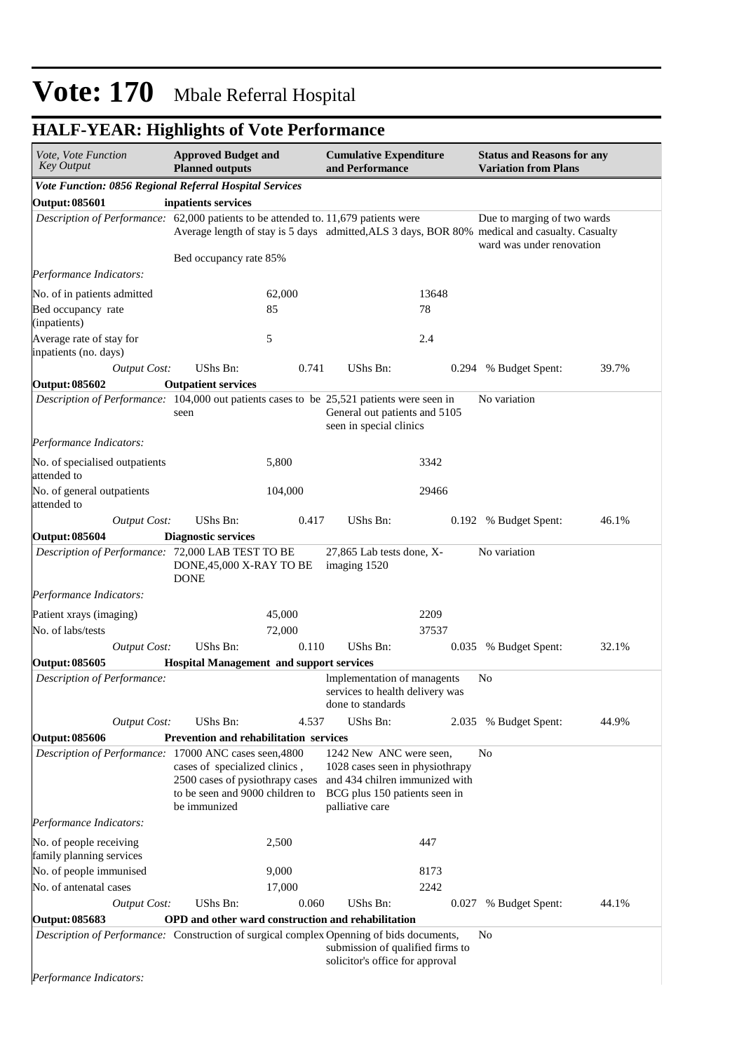## **HALF-YEAR: Highlights of Vote Performance**

| Vote, Vote Function<br><b>Key Output</b>                                                                                                                                      | <b>Approved Budget and</b><br><b>Planned outputs</b> |                                                                                                                                                        | <b>Cumulative Expenditure</b><br>and Performance                                              |       | <b>Status and Reasons for any</b><br><b>Variation from Plans</b> |       |  |
|-------------------------------------------------------------------------------------------------------------------------------------------------------------------------------|------------------------------------------------------|--------------------------------------------------------------------------------------------------------------------------------------------------------|-----------------------------------------------------------------------------------------------|-------|------------------------------------------------------------------|-------|--|
| Vote Function: 0856 Regional Referral Hospital Services                                                                                                                       |                                                      |                                                                                                                                                        |                                                                                               |       |                                                                  |       |  |
| <b>Output: 085601</b>                                                                                                                                                         | inpatients services                                  |                                                                                                                                                        |                                                                                               |       |                                                                  |       |  |
| Description of Performance: 62,000 patients to be attended to. 11,679 patients were                                                                                           |                                                      |                                                                                                                                                        | Average length of stay is 5 days admitted, ALS 3 days, BOR 80% medical and casualty. Casualty |       | Due to marging of two wards<br>ward was under renovation         |       |  |
|                                                                                                                                                                               | Bed occupancy rate 85%                               |                                                                                                                                                        |                                                                                               |       |                                                                  |       |  |
| Performance Indicators:                                                                                                                                                       |                                                      |                                                                                                                                                        |                                                                                               |       |                                                                  |       |  |
| No. of in patients admitted                                                                                                                                                   |                                                      | 62,000                                                                                                                                                 |                                                                                               | 13648 |                                                                  |       |  |
| Bed occupancy rate<br>(inpatients)                                                                                                                                            |                                                      | 85                                                                                                                                                     |                                                                                               | 78    |                                                                  |       |  |
| Average rate of stay for<br>inpatients (no. days)                                                                                                                             |                                                      | 5                                                                                                                                                      |                                                                                               | 2.4   |                                                                  |       |  |
| <b>Output Cost:</b>                                                                                                                                                           | UShs Bn:                                             | 0.741                                                                                                                                                  | UShs Bn:                                                                                      | 0.294 | % Budget Spent:                                                  | 39.7% |  |
| <b>Output: 085602</b>                                                                                                                                                         | <b>Outpatient services</b>                           |                                                                                                                                                        |                                                                                               |       |                                                                  |       |  |
| Description of Performance: 104,000 out patients cases to be 25,521 patients were seen in                                                                                     | seen                                                 |                                                                                                                                                        | General out patients and 5105<br>seen in special clinics                                      |       | No variation                                                     |       |  |
| Performance Indicators:                                                                                                                                                       |                                                      |                                                                                                                                                        |                                                                                               |       |                                                                  |       |  |
| No. of specialised outpatients<br>attended to                                                                                                                                 |                                                      | 5,800                                                                                                                                                  |                                                                                               | 3342  |                                                                  |       |  |
| No. of general outpatients<br>attended to                                                                                                                                     |                                                      | 104,000                                                                                                                                                |                                                                                               | 29466 |                                                                  |       |  |
| <b>Output Cost:</b>                                                                                                                                                           | UShs Bn:                                             | 0.417                                                                                                                                                  | UShs Bn:                                                                                      |       | 0.192 % Budget Spent:                                            | 46.1% |  |
| <b>Output: 085604</b>                                                                                                                                                         | <b>Diagnostic services</b>                           |                                                                                                                                                        |                                                                                               |       |                                                                  |       |  |
| Description of Performance: 72,000 LAB TEST TO BE                                                                                                                             | DONE, 45,000 X-RAY TO BE<br><b>DONE</b>              |                                                                                                                                                        | 27,865 Lab tests done, X-<br>imaging 1520                                                     |       | No variation                                                     |       |  |
| Performance Indicators:                                                                                                                                                       |                                                      |                                                                                                                                                        |                                                                                               |       |                                                                  |       |  |
| Patient xrays (imaging)                                                                                                                                                       |                                                      | 45,000                                                                                                                                                 |                                                                                               | 2209  |                                                                  |       |  |
| No. of labs/tests                                                                                                                                                             |                                                      | 72,000                                                                                                                                                 |                                                                                               | 37537 |                                                                  |       |  |
| <b>Output Cost:</b>                                                                                                                                                           | UShs Bn:                                             | 0.110                                                                                                                                                  | UShs Bn:                                                                                      |       | 0.035 % Budget Spent:                                            | 32.1% |  |
| <b>Output: 085605</b>                                                                                                                                                         | <b>Hospital Management and support services</b>      |                                                                                                                                                        |                                                                                               |       |                                                                  |       |  |
| Description of Performance:                                                                                                                                                   |                                                      |                                                                                                                                                        | Implementation of managents<br>services to health delivery was<br>done to standards           |       | No                                                               |       |  |
| Output Cost:                                                                                                                                                                  | UShs Bn:                                             | 4.537                                                                                                                                                  | UShs Bn:                                                                                      |       | 2.035 % Budget Spent:                                            | 44.9% |  |
| <b>Output: 085606</b>                                                                                                                                                         | <b>Prevention and rehabilitation services</b>        |                                                                                                                                                        |                                                                                               |       |                                                                  |       |  |
| Description of Performance: 17000 ANC cases seen, 4800<br>cases of specialized clinics,<br>2500 cases of pysiothrapy cases<br>to be seen and 9000 children to<br>be immunized |                                                      | 1242 New ANC were seen,<br>No<br>1028 cases seen in physiothrapy<br>and 434 chilren immunized with<br>BCG plus 150 patients seen in<br>palliative care |                                                                                               |       |                                                                  |       |  |
| Performance Indicators:                                                                                                                                                       |                                                      |                                                                                                                                                        |                                                                                               |       |                                                                  |       |  |
| No. of people receiving<br>family planning services                                                                                                                           |                                                      | 2,500                                                                                                                                                  |                                                                                               | 447   |                                                                  |       |  |
| No. of people immunised                                                                                                                                                       |                                                      | 9,000                                                                                                                                                  |                                                                                               | 8173  |                                                                  |       |  |
| No. of antenatal cases                                                                                                                                                        |                                                      | 17,000                                                                                                                                                 |                                                                                               | 2242  |                                                                  |       |  |
| <b>Output Cost:</b>                                                                                                                                                           | UShs Bn:                                             | 0.060                                                                                                                                                  | UShs Bn:                                                                                      | 0.027 | % Budget Spent:                                                  | 44.1% |  |
| <b>Output: 085683</b>                                                                                                                                                         |                                                      |                                                                                                                                                        | OPD and other ward construction and rehabilitation                                            |       |                                                                  |       |  |
| Description of Performance: Construction of surgical complex Openning of bids documents,                                                                                      |                                                      |                                                                                                                                                        | submission of qualified firms to<br>solicitor's office for approval                           |       | No                                                               |       |  |
| Performance Indicators:                                                                                                                                                       |                                                      |                                                                                                                                                        |                                                                                               |       |                                                                  |       |  |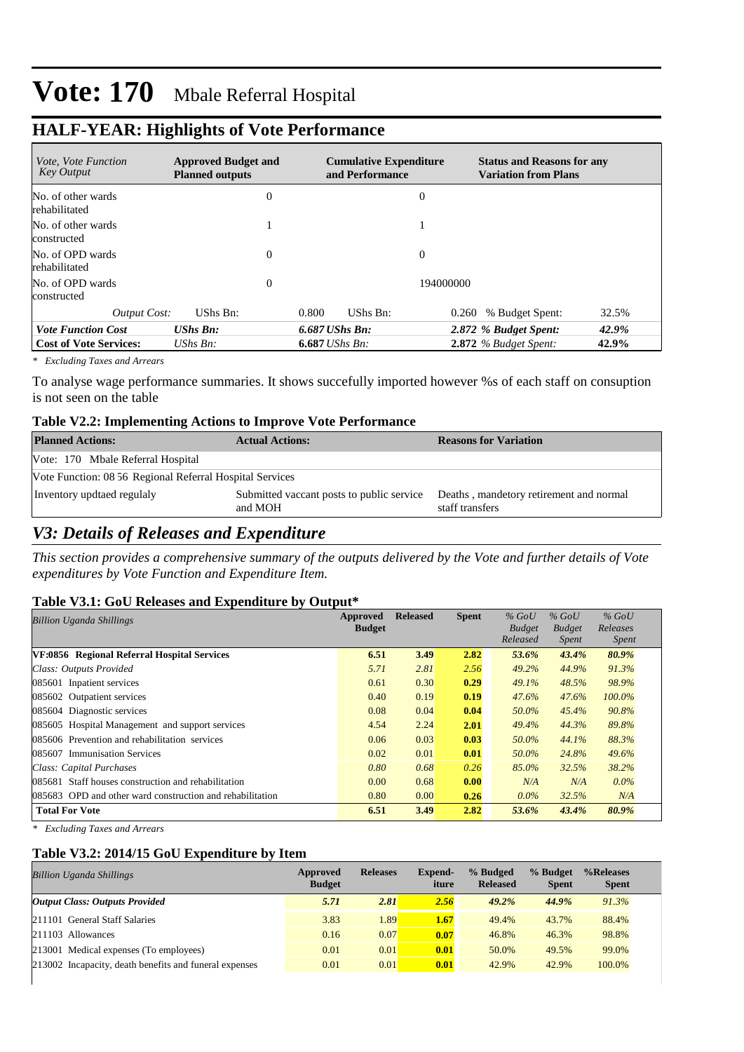## **HALF-YEAR: Highlights of Vote Performance**

| <i>Vote, Vote Function</i><br><b>Key Output</b> | <b>Approved Budget and</b><br><b>Planned outputs</b> |          | <b>Cumulative Expenditure</b><br>and Performance |          |                | <b>Status and Reasons for any</b><br><b>Variation from Plans</b> |       |  |  |
|-------------------------------------------------|------------------------------------------------------|----------|--------------------------------------------------|----------|----------------|------------------------------------------------------------------|-------|--|--|
| No. of other wards<br>rehabilitated             |                                                      | $\theta$ |                                                  |          | $\theta$       |                                                                  |       |  |  |
| No. of other wards<br>constructed               |                                                      |          |                                                  |          |                |                                                                  |       |  |  |
| No. of OPD wards<br>rehabilitated               |                                                      | $\theta$ |                                                  |          | $\overline{0}$ |                                                                  |       |  |  |
| No. of OPD wards<br>constructed                 |                                                      | $\theta$ |                                                  |          | 194000000      |                                                                  |       |  |  |
| Output Cost:                                    | UShs Bn:                                             |          | 0.800                                            | UShs Bn: | 0.260          | % Budget Spent:                                                  | 32.5% |  |  |
| <b>Vote Function Cost</b>                       | <b>UShs Bn:</b>                                      |          | $6.687$ UShs Bn:                                 |          |                | 2.872 % Budget Spent:                                            | 42.9% |  |  |
| <b>Cost of Vote Services:</b>                   | UShs $Bn$ :                                          |          | $6.687$ UShs Bn:                                 |          |                | $2.872$ % Budget Spent:                                          | 42.9% |  |  |

*\* Excluding Taxes and Arrears*

To analyse wage performance summaries. It shows succefully imported however %s of each staff on consuption is not seen on the table

#### **Table V2.2: Implementing Actions to Improve Vote Performance**

| <b>Planned Actions:</b>                                  | <b>Actual Actions:</b>                               | <b>Reasons for Variation</b>                               |  |  |  |  |
|----------------------------------------------------------|------------------------------------------------------|------------------------------------------------------------|--|--|--|--|
| Vote: 170 Mbale Referral Hospital                        |                                                      |                                                            |  |  |  |  |
| Vote Function: 08 56 Regional Referral Hospital Services |                                                      |                                                            |  |  |  |  |
| Inventory updtaed regulaly                               | Submitted vaccant posts to public service<br>and MOH | Deaths, mandetory retirement and normal<br>staff transfers |  |  |  |  |

### *V3: Details of Releases and Expenditure*

*This section provides a comprehensive summary of the outputs delivered by the Vote and further details of Vote expenditures by Vote Function and Expenditure Item.*

#### **Table V3.1: GoU Releases and Expenditure by Output\***

| Approved<br><b>Billion Uganda Shillings</b>               |               | <b>Released</b> | <b>Spent</b> | $%$ GoU       | $%$ GoU       | $%$ GoU      |
|-----------------------------------------------------------|---------------|-----------------|--------------|---------------|---------------|--------------|
|                                                           | <b>Budget</b> |                 |              | <b>Budget</b> | <b>Budget</b> | Releases     |
|                                                           |               |                 |              | Released      | <i>Spent</i>  | <i>Spent</i> |
| VF:0856 Regional Referral Hospital Services               | 6.51          | 3.49            | 2.82         | 53.6%         | 43.4%         | 80.9%        |
| Class: Outputs Provided                                   | 5.71          | 2.81            | 2.56         | 49.2%         | 44.9%         | 91.3%        |
| 085601 Inpatient services                                 | 0.61          | 0.30            | 0.29         | 49.1%         | 48.5%         | 98.9%        |
| 085602 Outpatient services                                | 0.40          | 0.19            | 0.19         | 47.6%         | 47.6%         | $100.0\%$    |
| 085604 Diagnostic services                                | 0.08          | 0.04            | 0.04         | 50.0%         | 45.4%         | 90.8%        |
| 085605 Hospital Management and support services           | 4.54          | 2.24            | 2.01         | 49.4%         | 44.3%         | 89.8%        |
| 085606 Prevention and rehabilitation services             | 0.06          | 0.03            | 0.03         | 50.0%         | 44.1%         | 88.3%        |
| 085607 Immunisation Services                              | 0.02          | 0.01            | 0.01         | 50.0%         | 24.8%         | 49.6%        |
| Class: Capital Purchases                                  | 0.80          | 0.68            | 0.26         | 85.0%         | 32.5%         | 38.2%        |
| 085681 Staff houses construction and rehabilitation       | 0.00          | 0.68            | 0.00         | N/A           | N/A           | $0.0\%$      |
| 085683 OPD and other ward construction and rehabilitation | 0.80          | 0.00            | 0.26         | $0.0\%$       | 32.5%         | N/A          |
| <b>Total For Vote</b>                                     | 6.51          | 3.49            | 2.82         | 53.6%         | 43.4%         | 80.9%        |

*\* Excluding Taxes and Arrears*

#### **Table V3.2: 2014/15 GoU Expenditure by Item**

| <b>Billion Uganda Shillings</b>                        | Approved<br><b>Budget</b> | <b>Releases</b> | <b>Expend-</b><br>iture | % Budged<br><b>Released</b> | % Budget<br><b>Spent</b> | %Releases<br><b>Spent</b> |
|--------------------------------------------------------|---------------------------|-----------------|-------------------------|-----------------------------|--------------------------|---------------------------|
| <b>Output Class: Outputs Provided</b>                  | 5.71                      | 2.81            | 2.56                    | 49.2%                       | 44.9%                    | 91.3%                     |
| 211101 General Staff Salaries                          | 3.83                      | 1.89            | 1.67                    | 49.4%                       | 43.7%                    | 88.4%                     |
| 211103 Allowances                                      | 0.16                      | 0.07            | 0.07                    | 46.8%                       | 46.3%                    | 98.8%                     |
| 213001 Medical expenses (To employees)                 | 0.01                      | 0.01            | 0.01                    | 50.0%                       | 49.5%                    | 99.0%                     |
| 213002 Incapacity, death benefits and funeral expenses | 0.01                      | 0.01            | 0.01                    | 42.9%                       | 42.9%                    | 100.0%                    |
|                                                        |                           |                 |                         |                             |                          |                           |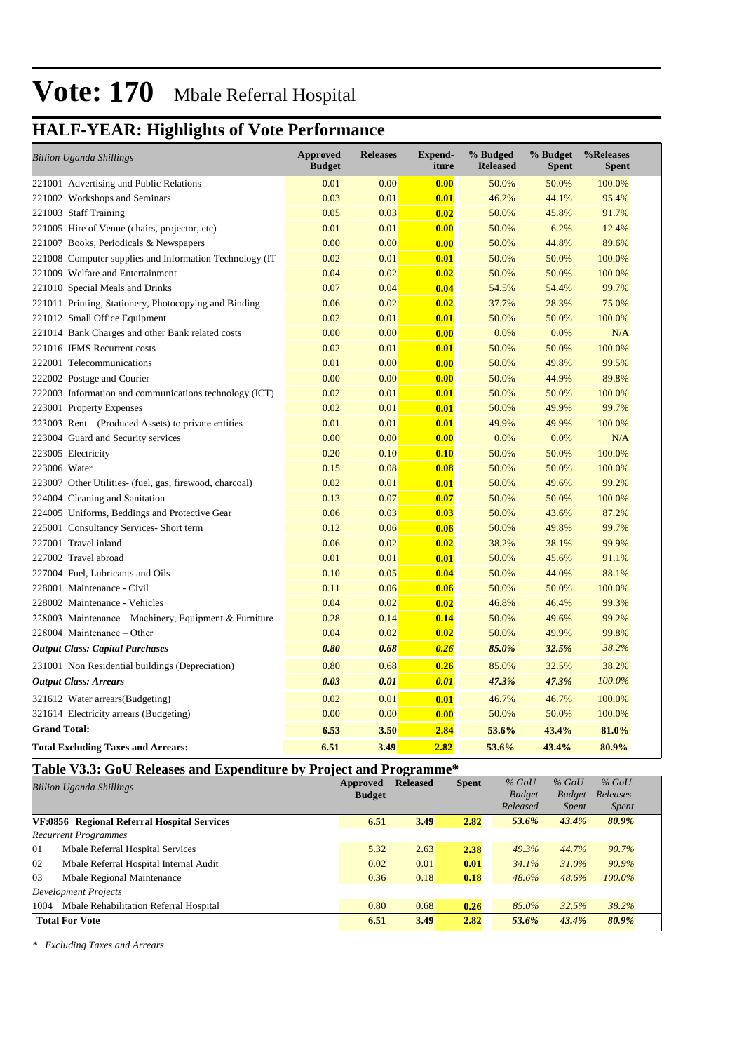## **HALF-YEAR: Highlights of Vote Performance**

| <b>Billion Uganda Shillings</b>                          | <b>Approved</b><br><b>Budget</b> | <b>Releases</b> | <b>Expend-</b><br>iture | % Budged<br><b>Released</b> | % Budget<br><b>Spent</b> | %Releases<br><b>Spent</b> |
|----------------------------------------------------------|----------------------------------|-----------------|-------------------------|-----------------------------|--------------------------|---------------------------|
| 221001 Advertising and Public Relations                  | 0.01                             | 0.00            | 0.00                    | 50.0%                       | 50.0%                    | 100.0%                    |
| 221002 Workshops and Seminars                            | 0.03                             | 0.01            | 0.01                    | 46.2%                       | 44.1%                    | 95.4%                     |
| 221003 Staff Training                                    | 0.05                             | 0.03            | 0.02                    | 50.0%                       | 45.8%                    | 91.7%                     |
| 221005 Hire of Venue (chairs, projector, etc)            | 0.01                             | 0.01            | 0.00                    | 50.0%                       | 6.2%                     | 12.4%                     |
| 221007 Books, Periodicals & Newspapers                   | 0.00                             | 0.00            | 0.00                    | 50.0%                       | 44.8%                    | 89.6%                     |
| 221008 Computer supplies and Information Technology (IT) | 0.02                             | 0.01            | 0.01                    | 50.0%                       | 50.0%                    | 100.0%                    |
| 221009 Welfare and Entertainment                         | 0.04                             | 0.02            | 0.02                    | 50.0%                       | 50.0%                    | 100.0%                    |
| 221010 Special Meals and Drinks                          | 0.07                             | 0.04            | 0.04                    | 54.5%                       | 54.4%                    | 99.7%                     |
| 221011 Printing, Stationery, Photocopying and Binding    | 0.06                             | 0.02            | 0.02                    | 37.7%                       | 28.3%                    | 75.0%                     |
| 221012 Small Office Equipment                            | 0.02                             | 0.01            | 0.01                    | 50.0%                       | 50.0%                    | 100.0%                    |
| 221014 Bank Charges and other Bank related costs         | 0.00                             | 0.00            | 0.00                    | 0.0%                        | 0.0%                     | N/A                       |
| 221016 IFMS Recurrent costs                              | 0.02                             | 0.01            | 0.01                    | 50.0%                       | 50.0%                    | 100.0%                    |
| 222001 Telecommunications                                | 0.01                             | 0.00            | 0.00                    | 50.0%                       | 49.8%                    | 99.5%                     |
| 222002 Postage and Courier                               | 0.00                             | 0.00            | 0.00                    | 50.0%                       | 44.9%                    | 89.8%                     |
| 222003 Information and communications technology (ICT)   | 0.02                             | 0.01            | 0.01                    | 50.0%                       | 50.0%                    | 100.0%                    |
| 223001 Property Expenses                                 | 0.02                             | 0.01            | 0.01                    | 50.0%                       | 49.9%                    | 99.7%                     |
| $223003$ Rent – (Produced Assets) to private entities    | 0.01                             | 0.01            | 0.01                    | 49.9%                       | 49.9%                    | 100.0%                    |
| 223004 Guard and Security services                       | 0.00                             | 0.00            | 0.00                    | 0.0%                        | 0.0%                     | N/A                       |
| 223005 Electricity                                       | 0.20                             | 0.10            | 0.10                    | 50.0%                       | 50.0%                    | 100.0%                    |
| 223006 Water                                             | 0.15                             | 0.08            | 0.08                    | 50.0%                       | 50.0%                    | 100.0%                    |
| 223007 Other Utilities- (fuel, gas, firewood, charcoal)  | 0.02                             | 0.01            | 0.01                    | 50.0%                       | 49.6%                    | 99.2%                     |
| 224004 Cleaning and Sanitation                           | 0.13                             | 0.07            | 0.07                    | 50.0%                       | 50.0%                    | 100.0%                    |
| 224005 Uniforms, Beddings and Protective Gear            | 0.06                             | 0.03            | 0.03                    | 50.0%                       | 43.6%                    | 87.2%                     |
| 225001 Consultancy Services- Short term                  | 0.12                             | 0.06            | 0.06                    | 50.0%                       | 49.8%                    | 99.7%                     |
| 227001 Travel inland                                     | 0.06                             | 0.02            | 0.02                    | 38.2%                       | 38.1%                    | 99.9%                     |
| 227002 Travel abroad                                     | 0.01                             | 0.01            | 0.01                    | 50.0%                       | 45.6%                    | 91.1%                     |
| 227004 Fuel, Lubricants and Oils                         | 0.10                             | 0.05            | 0.04                    | 50.0%                       | 44.0%                    | 88.1%                     |
| 228001 Maintenance - Civil                               | 0.11                             | 0.06            | 0.06                    | 50.0%                       | 50.0%                    | 100.0%                    |
| 228002 Maintenance - Vehicles                            | 0.04                             | 0.02            | 0.02                    | 46.8%                       | 46.4%                    | 99.3%                     |
| 228003 Maintenance - Machinery, Equipment & Furniture    | 0.28                             | 0.14            | 0.14                    | 50.0%                       | 49.6%                    | 99.2%                     |
| $228004$ Maintenance – Other                             | 0.04                             | 0.02            | 0.02                    | 50.0%                       | 49.9%                    | 99.8%                     |
| <b>Output Class: Capital Purchases</b>                   | 0.80                             | 0.68            | 0.26                    | 85.0%                       | 32.5%                    | 38.2%                     |
| 231001 Non Residential buildings (Depreciation)          | 0.80                             | 0.68            | 0.26                    | 85.0%                       | 32.5%                    | 38.2%                     |
| <b>Output Class: Arrears</b>                             | 0.03                             | 0.01            | 0.01                    | 47.3%                       | 47.3%                    | 100.0%                    |
| 321612 Water arrears(Budgeting)                          | 0.02                             | 0.01            | 0.01                    | 46.7%                       | 46.7%                    | 100.0%                    |
| 321614 Electricity arrears (Budgeting)                   | 0.00                             | 0.00            | 0.00                    | 50.0%                       | 50.0%                    | 100.0%                    |
| <b>Grand Total:</b>                                      | 6.53                             | 3.50            | 2.84                    | 53.6%                       | 43.4%                    | 81.0%                     |
| <b>Total Excluding Taxes and Arrears:</b>                | 6.51                             | 3.49            | 2.82                    | 53.6%                       | 43.4%                    | 80.9%                     |

### **Table V3.3: GoU Releases and Expenditure by Project and Programme\***

| <b>Billion Uganda Shillings</b> |                                             | Approved      | <b>Released</b> | <b>Spent</b> | $%$ GoU       | $%$ GoU       | $%$ GoU      |  |
|---------------------------------|---------------------------------------------|---------------|-----------------|--------------|---------------|---------------|--------------|--|
|                                 |                                             | <b>Budget</b> |                 |              | <b>Budget</b> | <b>Budget</b> | Releases     |  |
|                                 |                                             |               |                 |              | Released      | <i>Spent</i>  | <i>Spent</i> |  |
|                                 | VF:0856 Regional Referral Hospital Services | 6.51          | 3.49            | 2.82         | 53.6%         | 43.4%         | 80.9%        |  |
|                                 | <b>Recurrent Programmes</b>                 |               |                 |              |               |               |              |  |
| 01                              | Mbale Referral Hospital Services            | 5.32          | 2.63            | 2.38         | 49.3%         | 44.7%         | 90.7%        |  |
| 02                              | Mbale Referral Hospital Internal Audit      | 0.02          | 0.01            | 0.01         | 34.1%         | $31.0\%$      | 90.9%        |  |
| 03                              | Mbale Regional Maintenance                  | 0.36          | 0.18            | 0.18         | 48.6%         | 48.6%         | 100.0%       |  |
| Development Projects            |                                             |               |                 |              |               |               |              |  |
| 1004                            | Mbale Rehabilitation Referral Hospital      | 0.80          | 0.68            | 0.26         | 85.0%         | 32.5%         | 38.2%        |  |
|                                 | <b>Total For Vote</b>                       | 6.51          | 3.49            | 2.82         | 53.6%         | 43.4%         | 80.9%        |  |

*\* Excluding Taxes and Arrears*